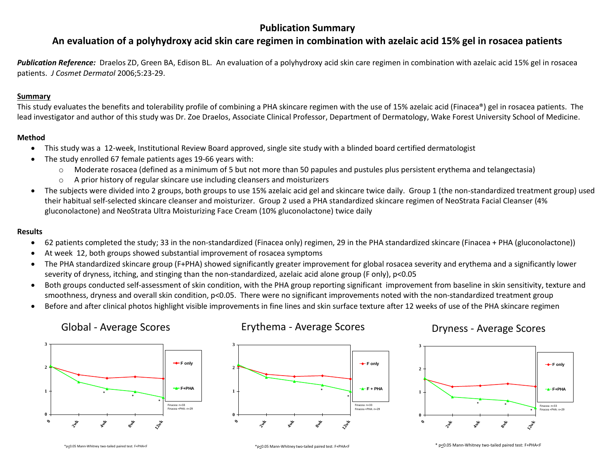## **Publication Summary**

## **An evaluation of a polyhydroxy acid skin care regimen in combination with azelaic acid 15% gel in rosacea patients**

Publication Reference: Draelos ZD, Green BA, Edison BL. An evaluation of a polyhydroxy acid skin care regimen in combination with azelaic acid 15% gel in rosacea patients. *J Cosmet Dermatol* 2006;5:23-29.

#### **Summary**

This study evaluates the benefits and tolerability profile of combining a PHA skincare regimen with the use of 15% azelaic acid (Finacea®) gel in rosacea patients. The lead investigator and author of this study was Dr. Zoe Draelos, Associate Clinical Professor, Department of Dermatology, Wake Forest University School of Medicine.

#### **Method**

- This study was a 12-week, Institutional Review Board approved, single site study with a blinded board certified dermatologist
- The study enrolled 67 female patients ages 19-66 years with:
	- $\circ$  Moderate rosacea (defined as a minimum of 5 but not more than 50 papules and pustules plus persistent erythema and telangectasia)
	- $\circ$  A prior history of regular skincare use including cleansers and moisturizers
- The subjects were divided into 2 groups, both groups to use 15% azelaic acid gel and skincare twice daily. Group 1 (the non-standardized treatment group) used their habitual self-selected skincare cleanser and moisturizer. Group 2 used a PHA standardized skincare regimen of NeoStrata Facial Cleanser (4% gluconolactone) and NeoStrata Ultra Moisturizing Face Cream (10% gluconolactone) twice daily

#### **Results**

- 62 patients completed the study; 33 in the non-standardized (Finacea only) regimen, 29 in the PHA standardized skincare (Finacea + PHA (gluconolactone))
- At week 12, both groups showed substantial improvement of rosacea symptoms
- The PHA standardized skincare group (F+PHA) showed significantly greater improvement for global rosacea severity and erythema and a significantly lower severity of dryness, itching, and stinging than the non-standardized, azelaic acid alone group (F only), p<0.05
- Both groups conducted self-assessment of skin condition, with the PHA group reporting significant improvement from baseline in skin sensitivity, texture and smoothness, dryness and overall skin condition, p<0.05. There were no significant improvements noted with the non-standardized treatment group
- Before and after clinical photos highlight visible improvements in fine lines and skin surface texture after 12 weeks of use of the PHA skincare regimen

### Global - Average Scores



### Erythema - Average Scores



# Dryness - Average Scores



\*p<0.05 Mann-Whitney two-tailed paired test: F+PHA<